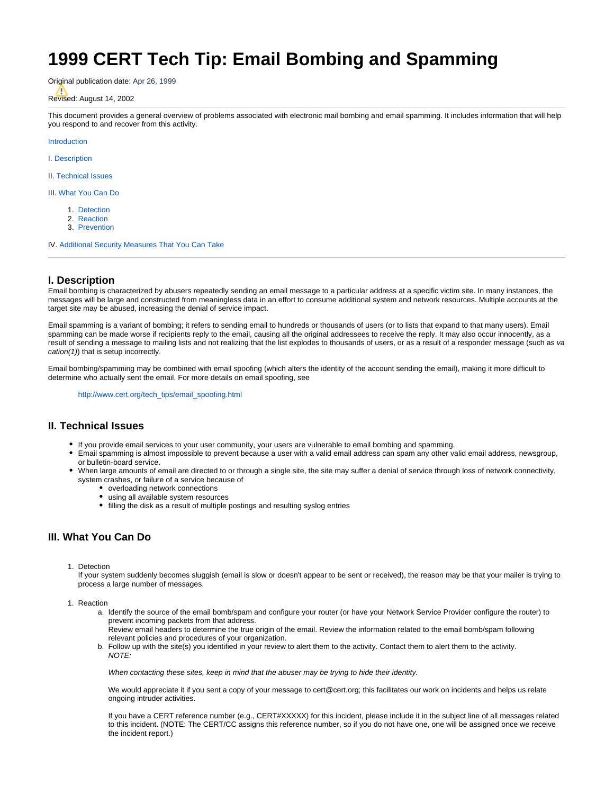# **1999 CERT Tech Tip: Email Bombing and Spamming**

Original publication date: Apr 26, 1999

# Revised: August 14, 2002

<span id="page-0-0"></span>This document provides a general overview of problems associated with electronic mail bombing and email spamming. It includes information that will help you respond to and recover from this activity.

[Introduction](#page-0-0)

I. [Description](#page-0-1)

II. [Technical Issues](#page-0-2)

III. [What You Can Do](#page-0-3)

- 1. [Detection](#page-0-4)
- 2. [Reaction](#page-0-5)
- 3. [Prevention](#page-1-0)

IV. [Additional Security Measures That You Can Take](#page-1-1)

## <span id="page-0-1"></span>**I. Description**

Email bombing is characterized by abusers repeatedly sending an email message to a particular address at a specific victim site. In many instances, the messages will be large and constructed from meaningless data in an effort to consume additional system and network resources. Multiple accounts at the target site may be abused, increasing the denial of service impact.

Email spamming is a variant of bombing; it refers to sending email to hundreds or thousands of users (or to lists that expand to that many users). Email spamming can be made worse if recipients reply to the email, causing all the original addressees to receive the reply. It may also occur innocently, as a result of sending a message to mailing lists and not realizing that the list explodes to thousands of users, or as a result of a responder message (such as va cation(1)) that is setup incorrectly.

Email bombing/spamming may be combined with email spoofing (which alters the identity of the account sending the email), making it more difficult to determine who actually sent the email. For more details on email spoofing, see

[http://www.cert.org/tech\\_tips/email\\_spoofing.html](http://www.cert.org/tech_tips/email_spoofing.html)

### <span id="page-0-2"></span>**II. Technical Issues**

- If you provide email services to your user community, your users are vulnerable to email bombing and spamming.
- Email spamming is almost impossible to prevent because a user with a valid email address can spam any other valid email address, newsgroup, or bulletin-board service.
- When large amounts of email are directed to or through a single site, the site may suffer a denial of service through loss of network connectivity, system crashes, or failure of a service because of
	- overloading network connections
	- using all available system resources
	- filling the disk as a result of multiple postings and resulting syslog entries

# <span id="page-0-5"></span><span id="page-0-4"></span><span id="page-0-3"></span>**III. What You Can Do**

1. Detection

If your system suddenly becomes sluggish (email is slow or doesn't appear to be sent or received), the reason may be that your mailer is trying to process a large number of messages.

- 1. Reaction
	- a. Identify the source of the email bomb/spam and configure your router (or have your Network Service Provider configure the router) to prevent incoming packets from that address.

Review email headers to determine the true origin of the email. Review the information related to the email bomb/spam following relevant policies and procedures of your organization.

b. Follow up with the site(s) you identified in your review to alert them to the activity. Contact them to alert them to the activity. NOTE:

When contacting these sites, keep in mind that the abuser may be trying to hide their identity.

We would appreciate it if you sent a copy of your message to cert@cert.org; this facilitates our work on incidents and helps us relate ongoing intruder activities.

If you have a CERT reference number (e.g., CERT#XXXXX) for this incident, please include it in the subject line of all messages related to this incident. (NOTE: The CERT/CC assigns this reference number, so if you do not have one, one will be assigned once we receive the incident report.)